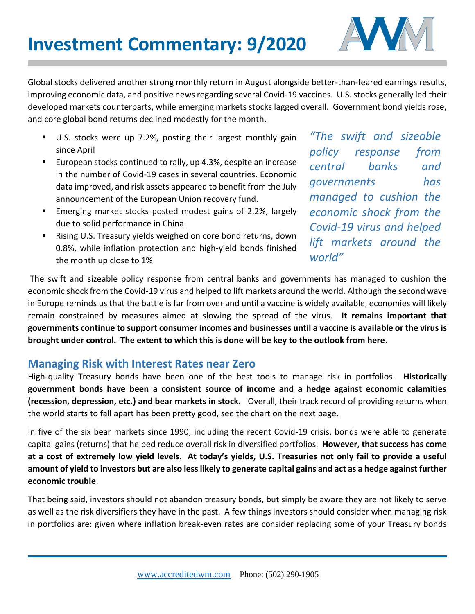

Global stocks delivered another strong monthly return in August alongside better-than-feared earnings results, improving economic data, and positive news regarding several Covid-19 vaccines. U.S. stocks generally led their developed markets counterparts, while emerging markets stocks lagged overall. Government bond yields rose, and core global bond returns declined modestly for the month.

- U.S. stocks were up 7.2%, posting their largest monthly gain since April
- European stocks continued to rally, up 4.3%, despite an increase in the number of Covid-19 cases in several countries. Economic data improved, and risk assets appeared to benefit from the July announcement of the European Union recovery fund.
- **Emerging market stocks posted modest gains of 2.2%, largely** due to solid performance in China.
- **E** Rising U.S. Treasury yields weighed on core bond returns, down 0.8%, while inflation protection and high-yield bonds finished the month up close to 1%

*"The swift and sizeable policy response from central banks and governments has managed to cushion the economic shock from the Covid-19 virus and helped lift markets around the world"* 

The swift and sizeable policy response from central banks and governments has managed to cushion the economic shock from the Covid-19 virus and helped to lift markets around the world. Although the second wave in Europe reminds us that the battle is far from over and until a vaccine is widely available, economies will likely remain constrained by measures aimed at slowing the spread of the virus. **It remains important that governments continue to support consumer incomes and businesses until a vaccine is available or the virus is brought under control. The extent to which this is done will be key to the outlook from here**.

## **Managing Risk with Interest Rates near Zero**

High-quality Treasury bonds have been one of the best tools to manage risk in portfolios. **Historically government bonds have been a consistent source of income and a hedge against economic calamities (recession, depression, etc.) and bear markets in stock.** Overall, their track record of providing returns when the world starts to fall apart has been pretty good, see the chart on the next page.

In five of the six bear markets since 1990, including the recent Covid-19 crisis, bonds were able to generate capital gains (returns) that helped reduce overall risk in diversified portfolios. **However, that success has come at a cost of extremely low yield levels. At today's yields, U.S. Treasuries not only fail to provide a useful amount of yield to investors but are also less likely to generate capital gains and act as a hedge against further economic trouble**.

That being said, investors should not abandon treasury bonds, but simply be aware they are not likely to serve as well as the risk diversifiers they have in the past. A few things investors should consider when managing risk in portfolios are: given where inflation break-even rates are consider replacing some of your Treasury bonds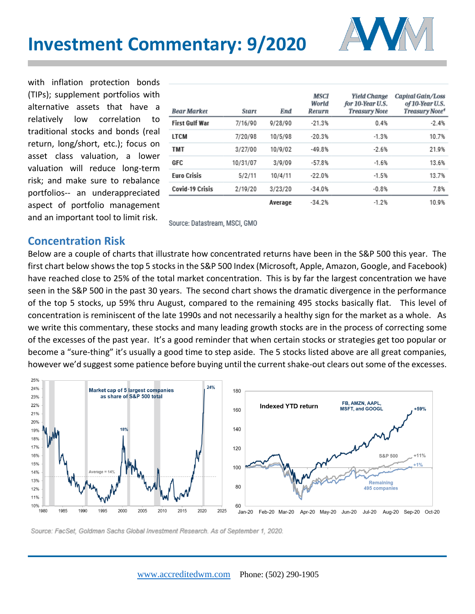

with inflation protection bonds (TIPs); supplement portfolios with alternative assets that have a relatively low correlation to traditional stocks and bonds (real return, long/short, etc.); focus on asset class valuation, a lower valuation will reduce long-term risk; and make sure to rebalance portfolios-- an underappreciated aspect of portfolio management and an important tool to limit risk.

| <b>Bear Market</b>     | Start    | <b>End</b> | MSCI<br>World<br>Return | <b>Yield Change</b><br>for 10-Year U.S.<br><b>Treasury Note</b> | Capital Gain/Loss<br>of 10-Year U.S.<br>Treasury Note <sup>4</sup> |
|------------------------|----------|------------|-------------------------|-----------------------------------------------------------------|--------------------------------------------------------------------|
| <b>First Gulf War</b>  | 7/16/90  | 9/28/90    | $-21.3%$                | 0.4%                                                            | $-2.4%$                                                            |
| LTCM                   | 7/20/98  | 10/5/98    | $-20.3%$                | $-1.3%$                                                         | 10.7%                                                              |
| <b>TMT</b>             | 3/27/00  | 10/9/02    | $-49.8%$                | $-2.6%$                                                         | 21.9%                                                              |
| GFC                    | 10/31/07 | 3/9/09     | $-57.8%$                | $-1.6%$                                                         | 13.6%                                                              |
| <b>Euro Crisis</b>     | 5/2/11   | 10/4/11    | $-22.0%$                | $-1.5%$                                                         | 13.7%                                                              |
| <b>Covid-19 Crisis</b> | 2/19/20  | 3/23/20    | $-34.0%$                | $-0.8%$                                                         | 7.8%                                                               |
|                        |          | Average    | $-34.2%$                | $-1.2%$                                                         | 10.9%                                                              |

Source: Datastream, MSCI, GMO

#### **Concentration Risk**

Below are a couple of charts that illustrate how concentrated returns have been in the S&P 500 this year. The first chart below shows the top 5 stocks in the S&P 500 Index (Microsoft, Apple, Amazon, Google, and Facebook) have reached close to 25% of the total market concentration. This is by far the largest concentration we have seen in the S&P 500 in the past 30 years. The second chart shows the dramatic divergence in the performance of the top 5 stocks, up 59% thru August, compared to the remaining 495 stocks basically flat. This level of concentration is reminiscent of the late 1990s and not necessarily a healthy sign for the market as a whole. As we write this commentary, these stocks and many leading growth stocks are in the process of correcting some of the excesses of the past year. It's a good reminder that when certain stocks or strategies get too popular or become a "sure-thing" it's usually a good time to step aside. The 5 stocks listed above are all great companies, however we'd suggest some patience before buying until the current shake-out clears out some of the excesses.



Source: FacSet, Goldman Sachs Global Investment Research. As of September 1, 2020.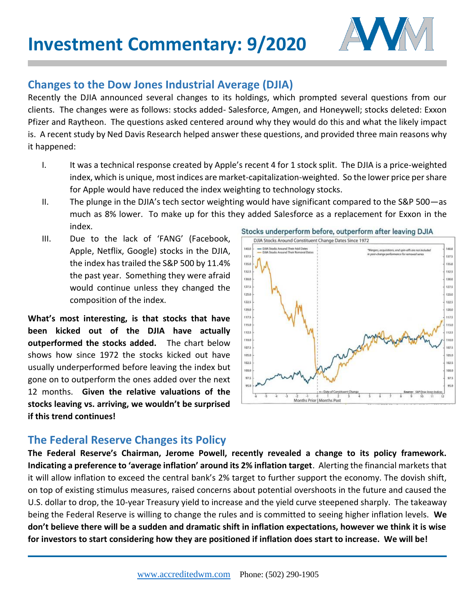

## **Changes to the Dow Jones Industrial Average (DJIA)**

Recently the DJIA announced several changes to its holdings, which prompted several questions from our clients. The changes were as follows: stocks added- Salesforce, Amgen, and Honeywell; stocks deleted: Exxon Pfizer and Raytheon. The questions asked centered around why they would do this and what the likely impact is. A recent study by Ned Davis Research helped answer these questions, and provided three main reasons why it happened:

- I. It was a technical response created by Apple's recent 4 for 1 stock split. The DJIA is a price-weighted index, which is unique, most indices are market-capitalization-weighted. So the lower price per share for Apple would have reduced the index weighting to technology stocks.
- II. The plunge in the DJIA's tech sector weighting would have significant compared to the S&P 500—as much as 8% lower. To make up for this they added Salesforce as a replacement for Exxon in the index. Stocks underperform before, outperform after leaving DJIA
- III. Due to the lack of 'FANG' (Facebook, Apple, Netflix, Google) stocks in the DJIA, the index has trailed the S&P 500 by 11.4% the past year. Something they were afraid would continue unless they changed the composition of the index.

**What's most interesting, is that stocks that have been kicked out of the DJIA have actually outperformed the stocks added.** The chart below shows how since 1972 the stocks kicked out have usually underperformed before leaving the index but gone on to outperform the ones added over the next 12 months. **Given the relative valuations of the stocks leaving vs. arriving, we wouldn't be surprised if this trend continues!**



## **The Federal Reserve Changes its Policy**

**The Federal Reserve's Chairman, Jerome Powell, recently revealed a change to its policy framework. Indicating a preference to 'average inflation' around its 2% inflation target**. Alerting the financial markets that it will allow inflation to exceed the central bank's 2% target to further support the economy. The dovish shift, on top of existing stimulus measures, raised concerns about potential overshoots in the future and caused the U.S. dollar to drop, the 10-year Treasury yield to increase and the yield curve steepened sharply. The takeaway being the Federal Reserve is willing to change the rules and is committed to seeing higher inflation levels. **We don't believe there will be a sudden and dramatic shift in inflation expectations, however we think it is wise for investors to start considering how they are positioned if inflation does start to increase. We will be!**